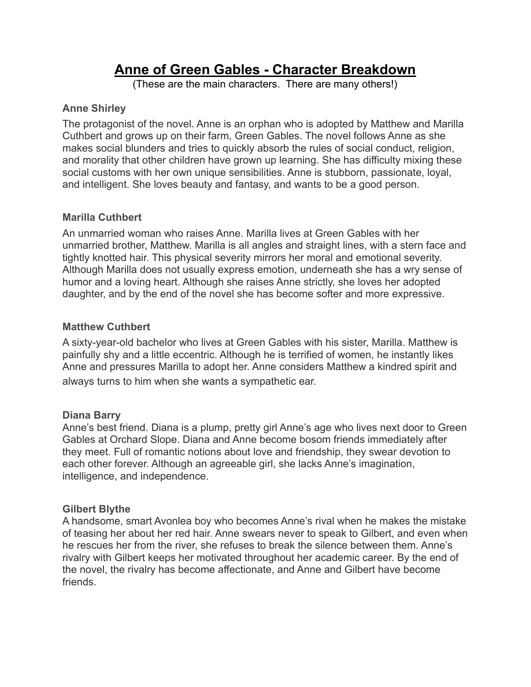# **Anne of Green Gables - Character Breakdown**

(These are the main characters. There are many others!)

# **Anne Shirley**

The protagonist of the novel. Anne is an orphan who is adopted by Matthew and Marilla Cuthbert and grows up on their farm, Green Gables. The novel follows Anne as she makes social blunders and tries to quickly absorb the rules of social conduct, religion, and morality that other children have grown up learning. She has difficulty mixing these social customs with her own unique sensibilities. Anne is stubborn, passionate, loyal, and intelligent. She loves beauty and fantasy, and wants to be a good person.

# **Marilla Cuthbert**

An unmarried woman who raises Anne. Marilla lives at Green Gables with her unmarried brother, Matthew. Marilla is all angles and straight lines, with a stern face and tightly knotted hair. This physical severity mirrors her moral and emotional severity. Although Marilla does not usually express emotion, underneath she has a wry sense of humor and a loving heart. Although she raises Anne strictly, she loves her adopted daughter, and by the end of the novel she has become softer and more expressive.

# **Matthew Cuthbert**

A sixty-year-old bachelor who lives at Green Gables with his sister, Marilla. Matthew is painfully shy and a little eccentric. Although he is terrified of women, he instantly likes Anne and pressures Marilla to adopt her. Anne considers Matthew a kindred spirit and always turns to him when she wants a sympathetic ear.

## **Diana Barry**

Anne's best friend. Diana is a plump, pretty girl Anne's age who lives next door to Green Gables at Orchard Slope. Diana and Anne become bosom friends immediately after they meet. Full of romantic notions about love and friendship, they swear devotion to each other forever. Although an agreeable girl, she lacks Anne's imagination, intelligence, and independence.

## **Gilbert Blythe**

A handsome, smart Avonlea boy who becomes Anne's rival when he makes the mistake of teasing her about her red hair. Anne swears never to speak to Gilbert, and even when he rescues her from the river, she refuses to break the silence between them. Anne's rivalry with Gilbert keeps her motivated throughout her academic career. By the end of the novel, the rivalry has become affectionate, and Anne and Gilbert have become friends.